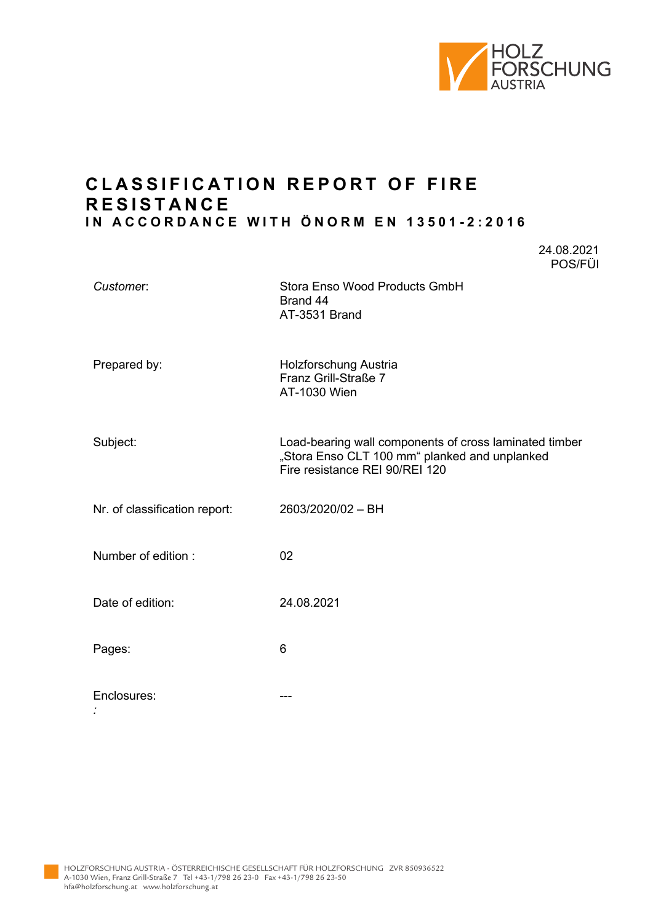

24.08.2021

## **C L ASSIFICATION REPORT OF FIRE R ESISTANCE IN ACCORDANCE WITH ÖNORM EN 13501 - 2:2016**

POS/FÜI *Custome*r: Stora Enso Wood Products GmbH Brand 44 AT-3531 Brand Prepared by: Holzforschung Austria Franz Grill-Straße 7 AT-1030 Wien Subject: Load-bearing wall components of cross laminated timber "Stora Enso CLT 100 mm" planked and unplanked Fire resistance REI 90/REI 120 Nr. of classification report: 2603/2020/02 – BH Number of edition : 02 Date of edition: 24.08.2021 Pages: 6 Enclosures: ---

*:*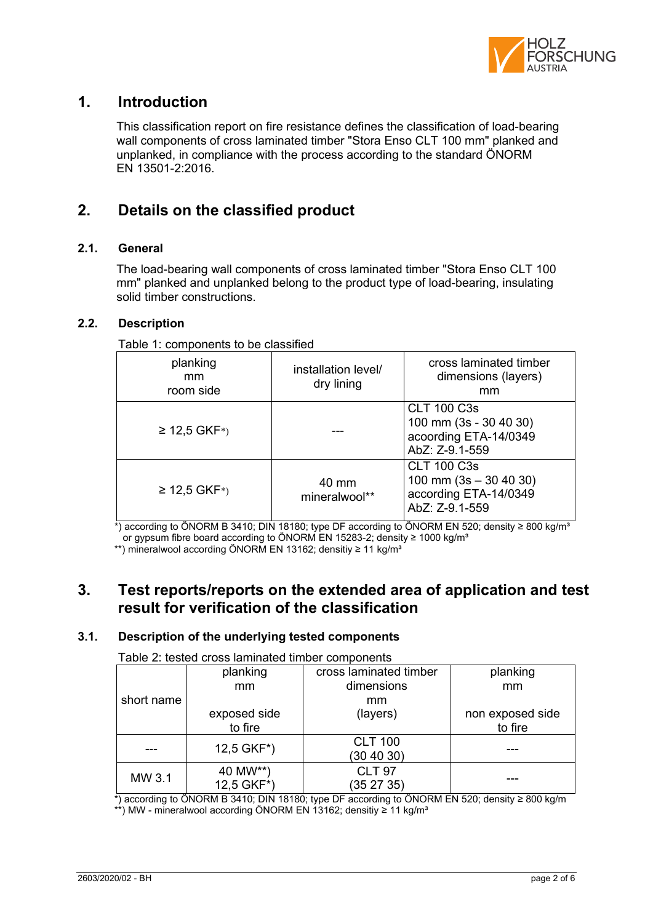

### **1. Introduction**

This classification report on fire resistance defines the classification of load-bearing wall components of cross laminated timber "Stora Enso CLT 100 mm" planked and unplanked, in compliance with the process according to the standard ÖNORM EN 13501-2:2016.

# **2. Details on the classified product**

#### **2.1. General**

The load-bearing wall components of cross laminated timber "Stora Enso CLT 100 mm" planked and unplanked belong to the product type of load-bearing, insulating solid timber constructions.

#### **2.2. Description**

Table 1: components to be classified

| planking<br>mm<br>room side | installation level/<br>dry lining | cross laminated timber<br>dimensions (layers)<br>mm                                       |
|-----------------------------|-----------------------------------|-------------------------------------------------------------------------------------------|
| $≥ 12,5$ GKF <sup>*</sup> ) |                                   | <b>CLT 100 C3s</b><br>100 mm (3s - 30 40 30)<br>acoording ETA-14/0349<br>AbZ: Z-9.1-559   |
| $≥ 12,5$ GKF <sup>*</sup> ) | 40 mm<br>mineralwool**            | <b>CLT 100 C3s</b><br>100 mm $(3s - 30 40 30)$<br>according ETA-14/0349<br>AbZ: Z-9.1-559 |

 $*$ ) according to ÖNORM B 3410; DIN 18180; type DF according to ÖNORM EN 520; density ≥ 800 kg/m<sup>3</sup> or gypsum fibre board according to ÖNORM EN 15283-2; density ≥ 1000 kg/m<sup>3</sup>

\*\*) mineralwool according ÖNORM EN 13162; densitiy ≥ 11 kg/m<sup>3</sup>

### **3. Test reports/reports on the extended area of application and test result for verification of the classification**

#### **3.1. Description of the underlying tested components**

| Table 2. tested cross latiniated timber components |                           |                        |                  |
|----------------------------------------------------|---------------------------|------------------------|------------------|
|                                                    | planking                  | cross laminated timber | planking         |
|                                                    | mm                        | dimensions             | mm               |
| short name                                         |                           | mm                     |                  |
|                                                    | exposed side              | (layers)               | non exposed side |
|                                                    | to fire                   |                        | to fire          |
|                                                    | $12,5$ GKF <sup>*</sup> ) | <b>CLT 100</b>         |                  |
|                                                    |                           | (30 40 30)             |                  |
| MW 3.1                                             | 40 MW**)                  | <b>CLT 97</b>          |                  |
|                                                    | 12,5 GKF*)                | (352735)               |                  |

Table 2: tested cross laminated timber components

 \*) according to ÖNORM B 3410; DIN 18180; type DF according to ÖNORM EN 520; density ≥ 800 kg/m \*\*) MW - mineralwool according ÖNORM EN 13162; densitiy ≥ 11 kg/m³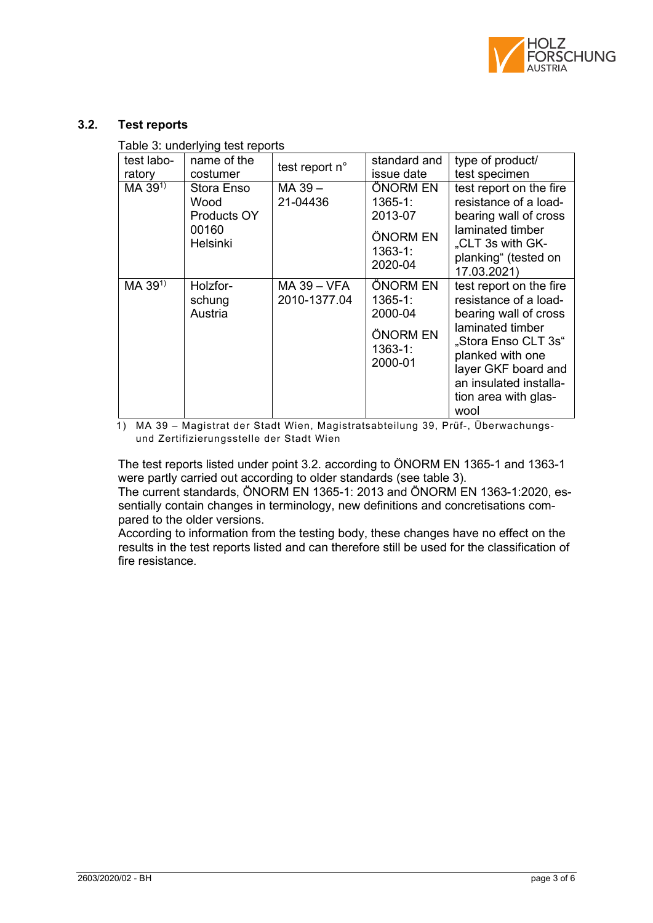

#### **3.2. Test reports**

Table 3: underlying test reports

| test labo-<br>ratory | name of the<br>costumer                                       | test report n°              | standard and<br>issue date                                               | type of product/<br>test specimen                                                                                                                                                                                         |
|----------------------|---------------------------------------------------------------|-----------------------------|--------------------------------------------------------------------------|---------------------------------------------------------------------------------------------------------------------------------------------------------------------------------------------------------------------------|
| $MA 39^{1}$          | Stora Enso<br>Wood<br>Products OY<br>00160<br><b>Helsinki</b> | MA 39-<br>21-04436          | ÖNORM EN<br>$1365 - 1:$<br>2013-07<br>ÖNORM EN<br>$1363 - 1:$<br>2020-04 | test report on the fire<br>resistance of a load-<br>bearing wall of cross<br>laminated timber<br>"CLT 3s with GK-<br>planking" (tested on<br>17.03.2021)                                                                  |
| MA 391)              | Holzfor-<br>schung<br>Austria                                 | MA 39 – VFA<br>2010-1377.04 | ÖNORM EN<br>$1365 - 1:$<br>2000-04<br>ÖNORM EN<br>$1363 - 1:$<br>2000-01 | test report on the fire<br>resistance of a load-<br>bearing wall of cross<br>laminated timber<br>"Stora Enso CLT 3s"<br>planked with one<br>layer GKF board and<br>an insulated installa-<br>tion area with glas-<br>wool |

1) MA 39 – Magistrat der Stadt Wien, Magistratsabteilung 39, Prüf-, Überwachungsund Zertifizierungsstelle der Stadt Wien

The test reports listed under point 3.2. according to ÖNORM EN 1365-1 and 1363-1 were partly carried out according to older standards (see table 3).

The current standards, ÖNORM EN 1365-1: 2013 and ÖNORM EN 1363-1:2020, essentially contain changes in terminology, new definitions and concretisations compared to the older versions.

According to information from the testing body, these changes have no effect on the results in the test reports listed and can therefore still be used for the classification of fire resistance.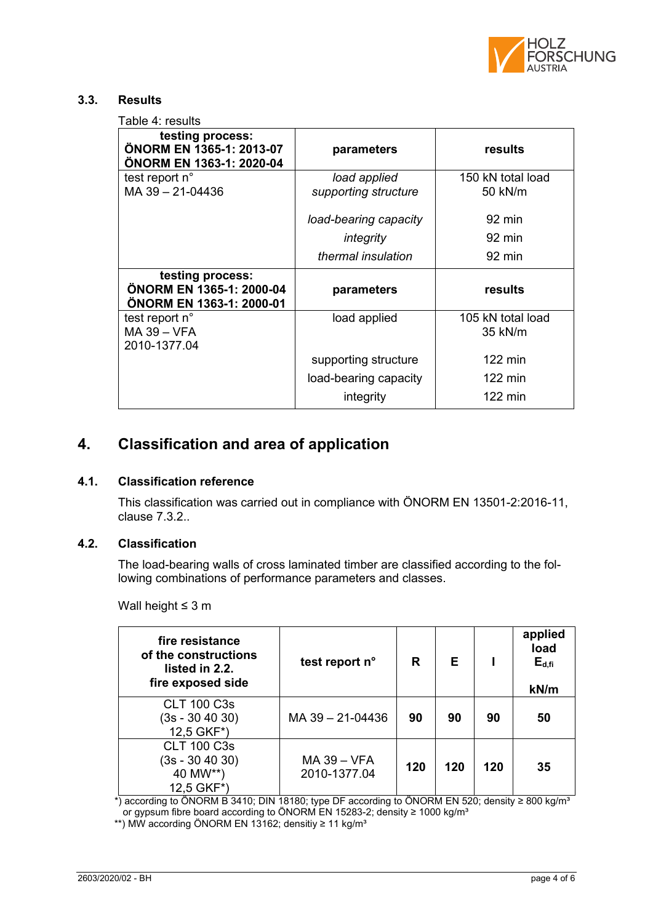

#### **3.3. Results**

Table 4: results

| testing process:<br>ÖNORM EN 1365-1: 2013-07<br>ÖNORM EN 1363-1: 2020-04 | parameters                           | results                      |
|--------------------------------------------------------------------------|--------------------------------------|------------------------------|
| test report n°<br>MA 39 - 21-04436                                       | load applied<br>supporting structure | 150 kN total load<br>50 kN/m |
|                                                                          | load-bearing capacity                | 92 min                       |
|                                                                          | integrity                            | 92 min                       |
|                                                                          | thermal insulation                   | 92 min                       |
| testing process:<br>ÖNORM EN 1365-1: 2000-04<br>ÖNORM EN 1363-1: 2000-01 | parameters                           | results                      |
| test report n°<br>$MA$ 39 - VFA<br>2010-1377.04                          | load applied                         | 105 kN total load<br>35 kN/m |
|                                                                          | supporting structure                 | $122$ min                    |
|                                                                          | load-bearing capacity                | $122 \text{ min}$            |
|                                                                          | integrity                            | 122 min                      |

## **4. Classification and area of application**

#### **4.1. Classification reference**

This classification was carried out in compliance with ÖNORM EN 13501-2:2016-11, clause 7.3.2..

#### **4.2. Classification**

The load-bearing walls of cross laminated timber are classified according to the following combinations of performance parameters and classes.

Wall height ≤ 3 m

| fire resistance<br>of the constructions<br>listed in 2.2.<br>fire exposed side | test report n°              | R   | Е   |     | applied<br>load<br>$E_{d,fi}$<br>kN/m |
|--------------------------------------------------------------------------------|-----------------------------|-----|-----|-----|---------------------------------------|
| <b>CLT 100 C3s</b><br>$(3s - 304030)$<br>12,5 GKF*)                            | MA 39 - 21-04436            | 90  | 90  | 90  | 50                                    |
| <b>CLT 100 C3s</b><br>$(3s - 304030)$<br>40 MW**)<br>12,5 GKF*)                | MA 39 - VFA<br>2010-1377.04 | 120 | 120 | 120 | 35                                    |

\*) according to ÖNORM B 3410; DIN 18180; type DF according to ÖNORM EN 520; density ≥ 800 kg/mª or gypsum fibre board according to ÖNORM EN 15283-2; density ≥ 1000 kg/m<sup>3</sup>

\*\*) MW according ÖNORM EN 13162; densitiy ≥ 11 kg/m³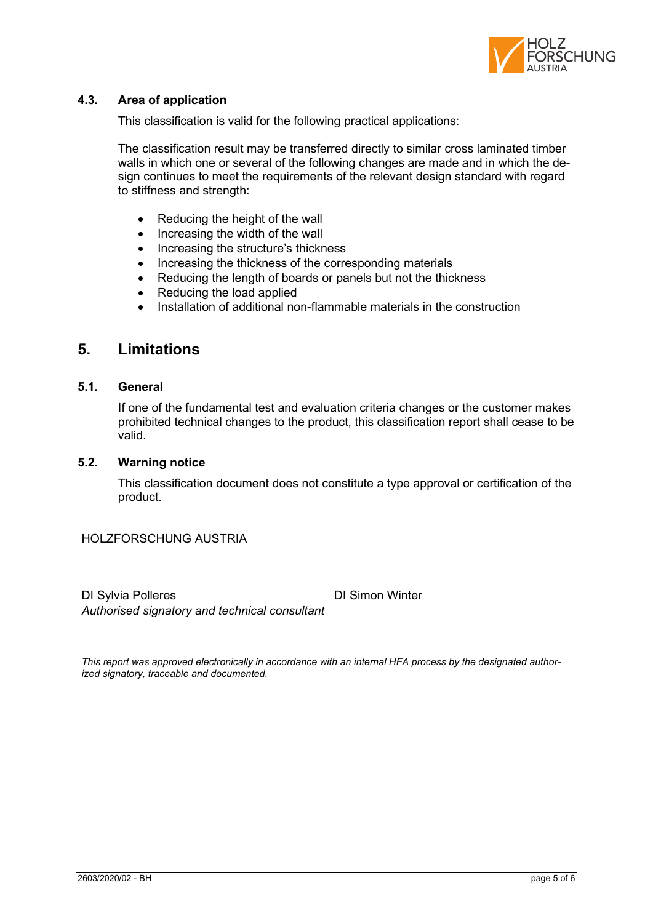

#### **4.3. Area of application**

This classification is valid for the following practical applications:

The classification result may be transferred directly to similar cross laminated timber walls in which one or several of the following changes are made and in which the design continues to meet the requirements of the relevant design standard with regard to stiffness and strength:

- Reducing the height of the wall
- Increasing the width of the wall
- Increasing the structure's thickness
- Increasing the thickness of the corresponding materials
- Reducing the length of boards or panels but not the thickness
- Reducing the load applied
- Installation of additional non-flammable materials in the construction

### **5. Limitations**

#### **5.1. General**

If one of the fundamental test and evaluation criteria changes or the customer makes prohibited technical changes to the product, this classification report shall cease to be valid.

#### **5.2. Warning notice**

This classification document does not constitute a type approval or certification of the product.

HOLZFORSCHUNG AUSTRIA

DI Sylvia Polleres **DI Simon Winter** *Authorised signatory and technical consultant*

*This report was approved electronically in accordance with an internal HFA process by the designated authorized signatory, traceable and documented.*